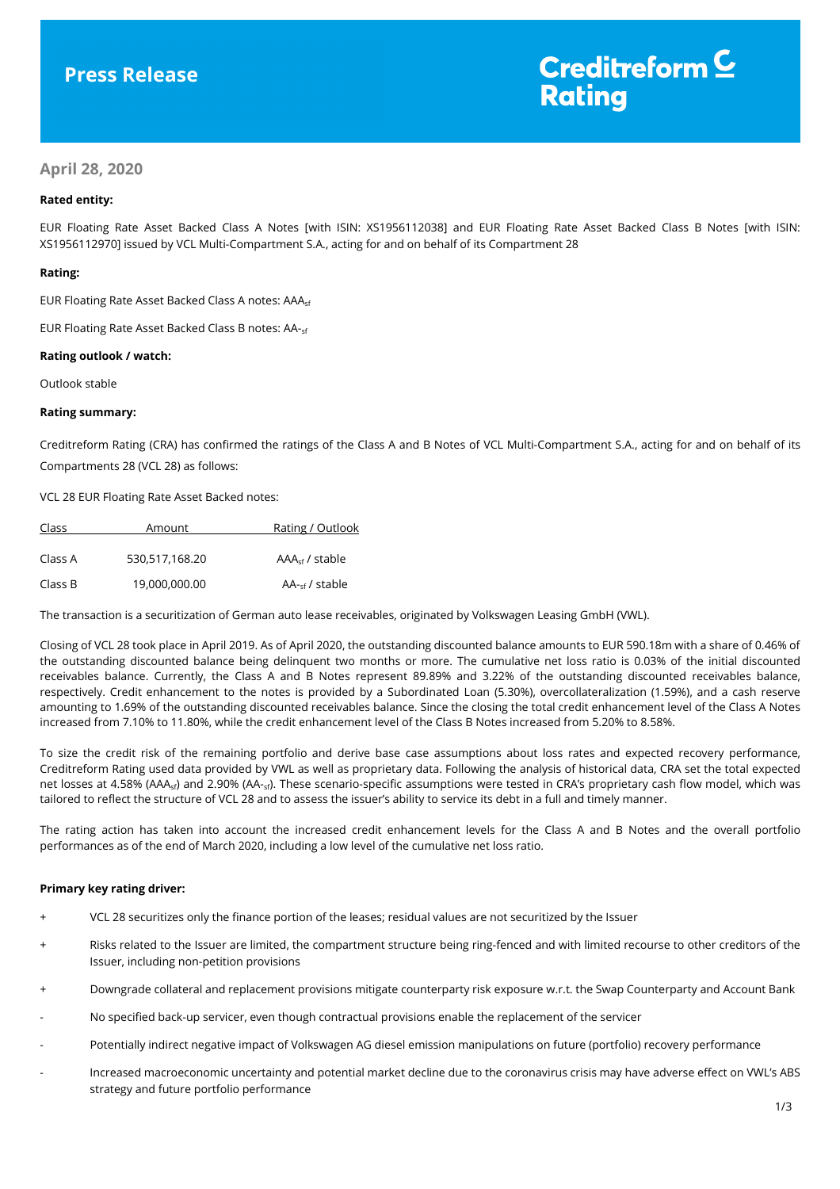# **Press Release**

# Creditreform<sup>C</sup> **Rating**

# **April 28, 2020**

# **Rated entity:**

EUR Floating Rate Asset Backed Class A Notes [with ISIN: XS1956112038] and EUR Floating Rate Asset Backed Class B Notes [with ISIN: XS1956112970] issued by VCL Multi-Compartment S.A., acting for and on behalf of its Compartment 28

# **Rating:**

EUR Floating Rate Asset Backed Class A notes: AAAsf

EUR Floating Rate Asset Backed Class B notes: AA-sf

# **Rating outlook / watch:**

Outlook stable

# **Rating summary:**

Creditreform Rating (CRA) has confirmed the ratings of the Class A and B Notes of VCL Multi-Compartment S.A., acting for and on behalf of its Compartments 28 (VCL 28) as follows:

VCL 28 EUR Floating Rate Asset Backed notes:

| Class   | Amount         | Rating / Outlook          |
|---------|----------------|---------------------------|
| Class A | 530.517.168.20 | $AAA_{\rm sf}$ / stable   |
| Class B | 19,000,000.00  | $AA_{\text{cf}}$ / stable |

The transaction is a securitization of German auto lease receivables, originated by Volkswagen Leasing GmbH (VWL).

Closing of VCL 28 took place in April 2019. As of April 2020, the outstanding discounted balance amounts to EUR 590.18m with a share of 0.46% of the outstanding discounted balance being delinquent two months or more. The cumulative net loss ratio is 0.03% of the initial discounted receivables balance. Currently, the Class A and B Notes represent 89.89% and 3.22% of the outstanding discounted receivables balance, respectively. Credit enhancement to the notes is provided by a Subordinated Loan (5.30%), overcollateralization (1.59%), and a cash reserve amounting to 1.69% of the outstanding discounted receivables balance. Since the closing the total credit enhancement level of the Class A Notes increased from 7.10% to 11.80%, while the credit enhancement level of the Class B Notes increased from 5.20% to 8.58%.

To size the credit risk of the remaining portfolio and derive base case assumptions about loss rates and expected recovery performance, Creditreform Rating used data provided by VWL as well as proprietary data. Following the analysis of historical data, CRA set the total expected net losses at 4.58% (AAA<sub>sf</sub>) and 2.90% (AA-<sub>sf</sub>). These scenario-specific assumptions were tested in CRA's proprietary cash flow model, which was tailored to reflect the structure of VCL 28 and to assess the issuer's ability to service its debt in a full and timely manner.

The rating action has taken into account the increased credit enhancement levels for the Class A and B Notes and the overall portfolio performances as of the end of March 2020, including a low level of the cumulative net loss ratio.

# **Primary key rating driver:**

- + VCL 28 securitizes only the finance portion of the leases; residual values are not securitized by the Issuer
- + Risks related to the Issuer are limited, the compartment structure being ring-fenced and with limited recourse to other creditors of the Issuer, including non-petition provisions
- + Downgrade collateral and replacement provisions mitigate counterparty risk exposure w.r.t. the Swap Counterparty and Account Bank
- No specified back-up servicer, even though contractual provisions enable the replacement of the servicer
- Potentially indirect negative impact of Volkswagen AG diesel emission manipulations on future (portfolio) recovery performance
- Increased macroeconomic uncertainty and potential market decline due to the coronavirus crisis may have adverse effect on VWL's ABS strategy and future portfolio performance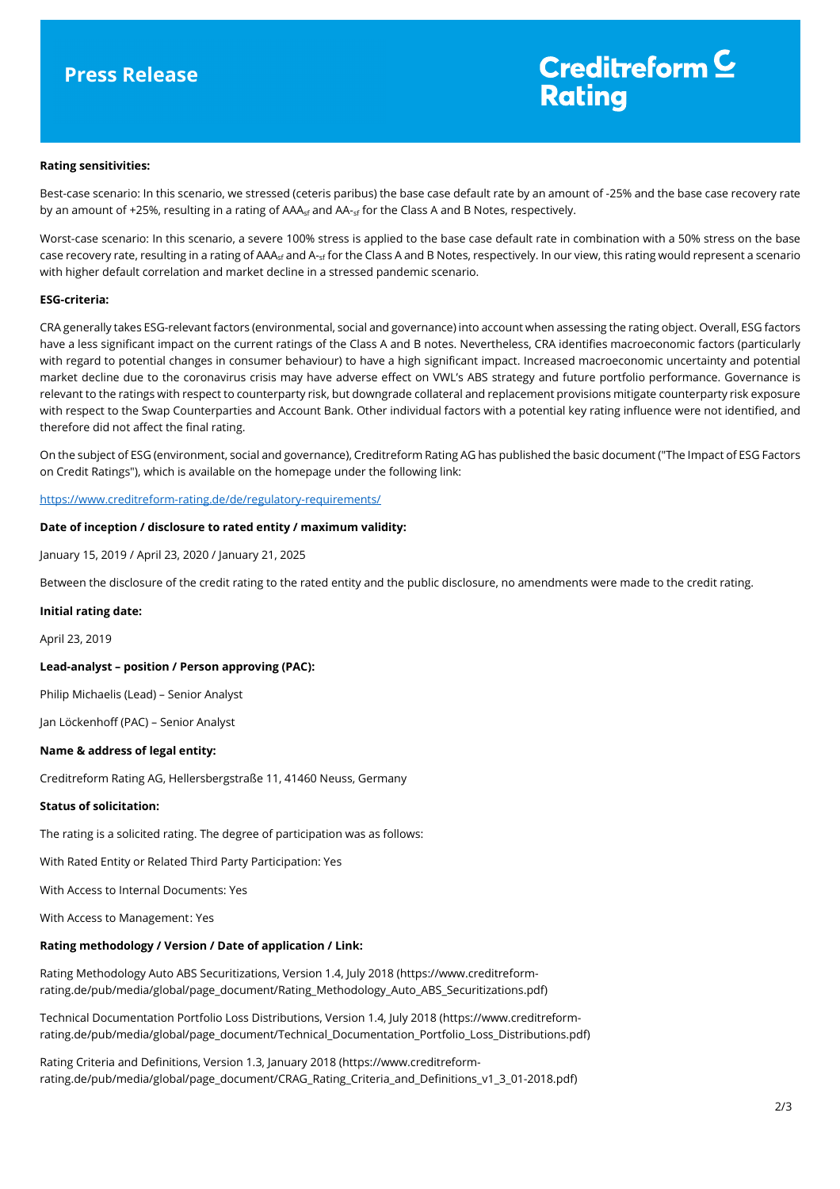# Creditreform  $\underline{\mathsf{C}}$ **Rating**

#### **Rating sensitivities:**

Best-case scenario: In this scenario, we stressed (ceteris paribus) the base case default rate by an amount of -25% and the base case recovery rate by an amount of +25%, resulting in a rating of AAA<sub>sf</sub> and AA<sub>-sf</sub> for the Class A and B Notes, respectively.

Worst-case scenario: In this scenario, a severe 100% stress is applied to the base case default rate in combination with a 50% stress on the base case recovery rate, resulting in a rating of AAA<sub>sf</sub> and A-<sub>sf</sub> for the Class A and B Notes, respectively. In our view, this rating would represent a scenario with higher default correlation and market decline in a stressed pandemic scenario.

#### **ESG-criteria:**

CRA generally takes ESG-relevant factors (environmental, social and governance) into account when assessing the rating object. Overall, ESG factors have a less significant impact on the current ratings of the Class A and B notes. Nevertheless, CRA identifies macroeconomic factors (particularly with regard to potential changes in consumer behaviour) to have a high significant impact. Increased macroeconomic uncertainty and potential market decline due to the coronavirus crisis may have adverse effect on VWL's ABS strategy and future portfolio performance. Governance is relevant to the ratings with respect to counterparty risk, but downgrade collateral and replacement provisions mitigate counterparty risk exposure with respect to the Swap Counterparties and Account Bank. Other individual factors with a potential key rating influence were not identified, and therefore did not affect the final rating.

On the subject of ESG (environment, social and governance), Creditreform Rating AG has published the basic document ("The Impact of ESG Factors on Credit Ratings"), which is available on the homepage under the following link:

https://www.creditreform-rating.de/de/regulatory-requirements/

#### **Date of inception / disclosure to rated entity / maximum validity:**

January 15, 2019 / April 23, 2020 / January 21, 2025

Between the disclosure of the credit rating to the rated entity and the public disclosure, no amendments were made to the credit rating.

#### **Initial rating date:**

April 23, 2019

# **Lead-analyst – position / Person approving (PAC):**

Philip Michaelis (Lead) – Senior Analyst

Jan Löckenhoff (PAC) – Senior Analyst

# **Name & address of legal entity:**

Creditreform Rating AG, Hellersbergstraße 11, 41460 Neuss, Germany

#### **Status of solicitation:**

The rating is a solicited rating. The degree of participation was as follows:

With Rated Entity or Related Third Party Participation: Yes

With Access to Internal Documents: Yes

With Access to Management: Yes

# **Rating methodology / Version / Date of application / Link:**

Rating Methodology Auto ABS Securitizations, Version 1.4, July 2018 (https://www.creditreformrating.de/pub/media/global/page\_document/Rating\_Methodology\_Auto\_ABS\_Securitizations.pdf)

Technical Documentation Portfolio Loss Distributions, Version 1.4, July 2018 (https://www.creditreformrating.de/pub/media/global/page\_document/Technical\_Documentation\_Portfolio\_Loss\_Distributions.pdf)

Rating Criteria and Definitions, Version 1.3, January 2018 (https://www.creditreformrating.de/pub/media/global/page\_document/CRAG\_Rating\_Criteria\_and\_Definitions\_v1\_3\_01-2018.pdf)